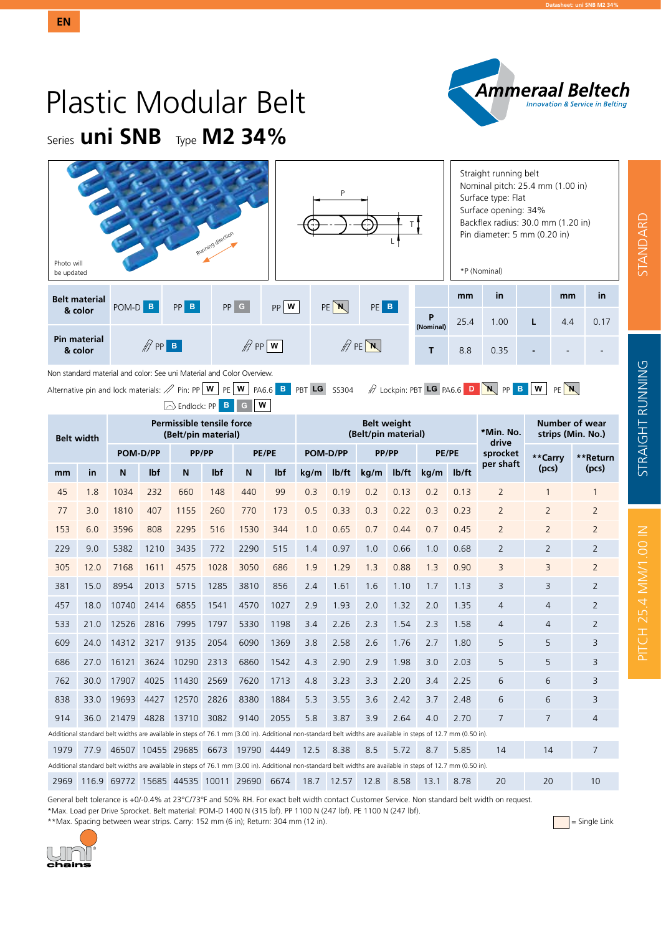

# Plastic Modular Belt Series **uni SNB** Type **M2 34%**

| P<br>Running direction<br>Photo will<br>be updated |                          |          |          |                                 |     |                                |                |      | Straight running belt<br>Nominal pitch: 25.4 mm (1.00 in)<br>Surface type: Flat<br>Surface opening: 34%<br>Backflex radius: 30.0 mm (1.20 in)<br>Pin diameter: 5 mm (0.20 in)<br>*P (Nominal) |   |     |      |  |  |  |  |
|----------------------------------------------------|--------------------------|----------|----------|---------------------------------|-----|--------------------------------|----------------|------|-----------------------------------------------------------------------------------------------------------------------------------------------------------------------------------------------|---|-----|------|--|--|--|--|
| <b>Belt material</b>                               | POM-D <sup>B</sup>       | $PP$ $B$ | $PP$ $G$ | $PP$ W                          | PEN | PE B                           |                | mm   | in                                                                                                                                                                                            |   | mm  | in   |  |  |  |  |
| & color                                            |                          |          |          |                                 |     |                                | P<br>(Nominal) | 25.4 | 1.00                                                                                                                                                                                          | L | 4.4 | 0.17 |  |  |  |  |
| <b>Pin material</b><br>& color                     | $\mathbb{Z}$ PP <b>B</b> |          |          | $\mathscr{D}$ PP $ \mathbf{w} $ |     | $\mathbb{Z}$ PE $\overline{N}$ |                | 8.8  | 0.35                                                                                                                                                                                          |   |     |      |  |  |  |  |

Non standard material and color: See uni Material and Color Overview.

Alternative pin and lock materials:  $\mathscr{P}$  Pin: PP **W** PE **W** PA6.6 **B** PBT **LG** SS304  $\mathscr{P}$  Lockpin: PBT **LG** PA6.6 **D N** PP **B** W PE **N** 

**Belt width Permissible tensile force (Belt/pin material) Belt weight (Belt/pin material) \*Min. No. drive sprocket per shaft Number of wear strips (Min. No.) POM-D/PP PP/PP PE/PE POM-D/PP PP/PP PE/PE \*\*Carry (pcs) \*\*Return (pcs) mm in <sup>N</sup> lbf <sup>N</sup> lbf <sup>N</sup> lbf kg/m lb/ft kg/m lb/ft kg/m lb/ft** 45 1.8 1034 232 660 148 440 99 0.3 0.19 0.2 0.13 0.2 0.13 2 1 1 77 3.0 1810 407 1155 260 770 173 0.5 0.33 0.3 0.22 0.3 0.23 2 2 2 153 6.0 3596 808 2295 516 1530 344 1.0 0.65 0.7 0.44 0.7 0.45 2 2 2 229 9.0 5382 1210 3435 772 2290 515 1.4 0.97 1.0 0.66 1.0 0.68 2 2 2 305 12.0 7168 1611 4575 1028 3050 686 1.9 1.29 1.3 0.88 1.3 0.90 3 3 2 381 15.0 8954 2013 5715 1285 3810 856 2.4 1.61 1.6 1.10 1.7 1.13 3 3 2 457 18.0 10740 2414 6855 1541 4570 1027 2.9 1.93 2.0 1.32 2.0 1.35 4 4 2 533 21.0 12526 2816 7995 1797 5330 1198 3.4 2.26 2.3 1.54 2.3 1.58 4 4 2 609 24.0 14312 3217 9135 2054 6090 1369 3.8 2.58 2.6 1.76 2.7 1.80 5 5 3 686 27.0 16121 3624 10290 2313 6860 1542 4.3 2.90 2.9 1.98 3.0 2.03 5 5 3 762 30.0 17907 4025 11430 2569 7620 1713 4.8 3.23 3.3 2.20 3.4 2.25 6 6 3 838 33.0 19693 4427 12570 2826 8380 1884 5.3 3.55 3.6 2.42 3.7 2.48 6 6 3 914 36.0 21479 4828 13710 3082 9140 2055 5.8 3.87 3.9 2.64 4.0 2.70 7 7 4 Additional standard belt widths are available in steps of 76.1 mm (3.00 in). Additional non-standard belt widths are available in steps of 12.7 mm (0.50 in). 1979 77.9 46507 10455 29685 6673 19790 4449 12.5 8.38 8.5 5.72 8.7 5.85 14 14 7 Additional standard belt widths are available in steps of 76.1 mm (3.00 in). Additional non-standard belt widths are available in steps of 12.7 mm (0.50 in). 2969 116.9 69772 15685 44535 10011 29690 6674 18.7 12.57 12.8 8.58 13.1 8.78 20 20 10  $\boxed{\bigcirc}$  Endlock: PP **B G**  $\boxed{\mathbf{W}}$ 

General belt tolerance is +0/-0.4% at 23°C/73°F and 50% RH. For exact belt width contact Customer Service. Non standard belt width on request. \*Max. Load per Drive Sprocket. Belt material: POM-D 1400 N (315 lbf). PP 1100 N (247 lbf). PE 1100 N (247 lbf).

\*\*Max. Spacing between wear strips. Carry: 152 mm (6 in); Return: 304 mm (12 in).  $\Box$  Single Link

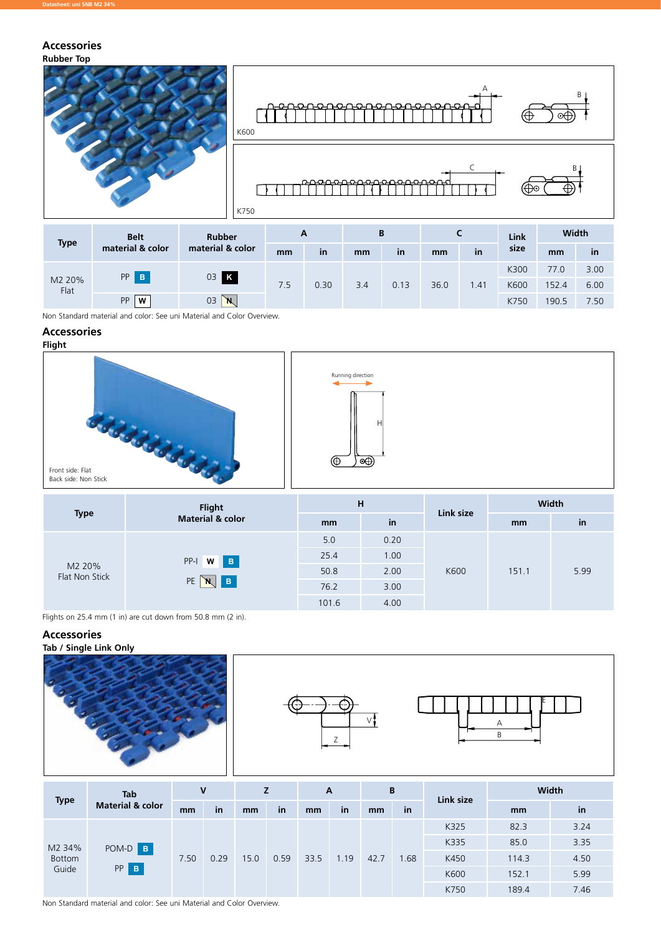#### **Rubber Top Accessories**



| <b>Type</b>    | <b>Belt</b>      | <b>Rubber</b>    | A   |      |     | B    |      |      | Link | Width |      |  |
|----------------|------------------|------------------|-----|------|-----|------|------|------|------|-------|------|--|
|                | material & color | material & color | mm  | in   | mm  | in   | mm   | in   | size | mm    | in   |  |
| M2 20%<br>Flat | PP B             | 03 K             | 7.5 | 0.30 | 3.4 | 0.13 | 36.0 |      | K300 | 77.0  | 3.00 |  |
|                |                  |                  |     |      |     |      |      | 1.41 | K600 | 152.4 | 6.00 |  |
|                | <b>PP</b><br>W   | 03<br>`N         |     |      |     |      |      |      | K750 | 190.5 | 7.50 |  |

Non Standard material and color: See uni Material and Color Overview.

## **Accessories**





Flights on 25.4 mm (1 in) are cut down from 50.8 mm (2 in).

#### **Accessories**







101.6 4.00



|               | <b>Tab</b>                  | V    |           |      |      | A    |      | B    |      | Link size | <b>Width</b> |      |  |
|---------------|-----------------------------|------|-----------|------|------|------|------|------|------|-----------|--------------|------|--|
| <b>Type</b>   | <b>Material &amp; color</b> | mm   | <b>in</b> | mm   | in   | mm   | in   | mm   | in   |           | mm           | in   |  |
|               | POM-D B                     | 7.50 |           | 15.0 | 0.59 | 33.5 | 1.19 | 42.7 |      | K325      | 82.3         | 3.24 |  |
| M2 34%        |                             |      | 0.29      |      |      |      |      |      |      | K335      | 85.0         | 3.35 |  |
| <b>Bottom</b> |                             |      |           |      |      |      |      |      | 1.68 | K450      | 114.3        | 4.50 |  |
| Guide         | PP<br>$\, {\bf B} \,$       |      |           |      |      |      |      |      |      | K600      | 152.1        | 5.99 |  |
|               |                             |      |           |      |      |      |      |      |      | K750      | 189.4        | 7.46 |  |

Non Standard material and color: See uni Material and Color Overview.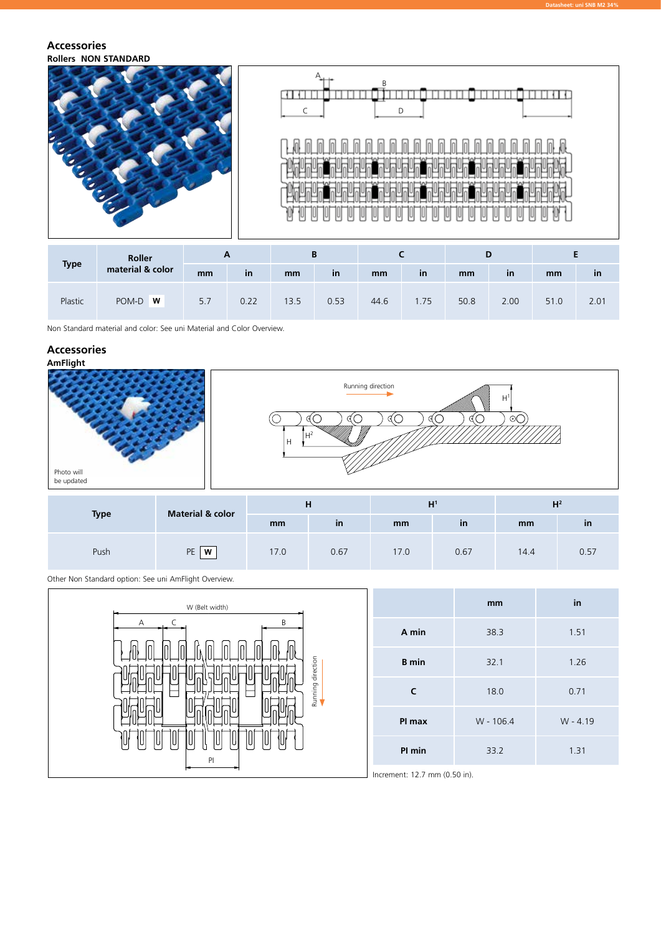#### **Rollers NON STANDARD Accessories**



| <b>Type</b> | Roller           | r   |           |      |           |      |           |      |           |      |      |
|-------------|------------------|-----|-----------|------|-----------|------|-----------|------|-----------|------|------|
|             | material & color | mm  | <b>in</b> | mm   | <b>in</b> | mm   | <b>in</b> | mm   | <i>in</i> | mm   | ın   |
| Plastic     | POM-D <b>W</b>   | 5.7 | 0.22      | 13.5 | 0.53      | 44.6 | 1.75      | 50.8 | 2.00      | 51.0 | 2.01 |

Non Standard material and color: See uni Material and Color Overview.

### **Accessories**



|             | <b>Material &amp; color</b> |      | п    |      | H    | шź<br>п |           |  |  |
|-------------|-----------------------------|------|------|------|------|---------|-----------|--|--|
| <b>Type</b> |                             | mm   | in   | mm   | in   | mm      | <b>in</b> |  |  |
| Push        | <b>PE</b><br>W              | 17.0 | 0.67 | 17.0 | 0.67 | 14.4    | 0.57      |  |  |

Other Non Standard option: See uni AmFlight Overview.